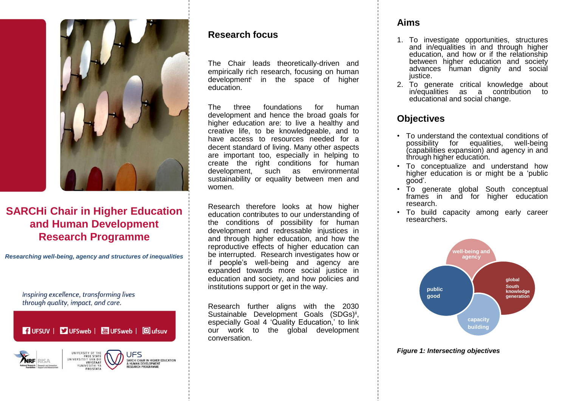

# **SARCHi Chair in Higher Education and Human Development Research Programme**

*Researching well-being, agency and structures of inequalities*

Inspiring excellence, transforming lives through quality, impact, and care.

**T** UFSUV | DI UFSweb | 圖 UFSweb | 回 ufsuv



## **Research focus**

The Chair leads theoretically-driven and empirically rich research, focusing on human development<sup>i</sup> in the space of higher education.

The three foundations for human development and hence the broad goals for higher education are: to live a healthy and creative life, to be knowledgeable, and to have access to resources needed for a decent standard of living. Many other aspects are important too, especially in helping to create the right conditions for human development, such as environmental sustainability or equality between men and women.

Research therefore looks at how higher education contributes to our understanding of the conditions of possibility for human development and redressable injustices in and through higher education, and how the reproductive effects of higher education can be interrupted. Research investigates how or if people's well-being and agency are expanded towards more social justice in education and society, and how policies and institutions support or get in the way.

Research further aligns with the 2030 Sustainable Development Goals (SDGs)<sup>ii</sup>, especially Goal 4 'Quality Education,' to link our work to the global development conversation.

## **Aims**

- 1. To investigate opportunities, structures and in/equalities in and through higher education, and how or if the relationship between higher education and society advances human dignity and social justice.
- 2. To generate critical knowledge about in/equalities as a contribution to educational and social change.

## **Objectives**

- To understand the contextual conditions of possibility for equalities, well-being (capabilities expansion) and agency in and through higher education.
- To conceptualize and understand how higher education is or might be a 'public good'.
- To generate global South conceptual frames in and for higher education research.
- To build capacity among early career researchers.



#### *Figure 1: Intersecting objectives*